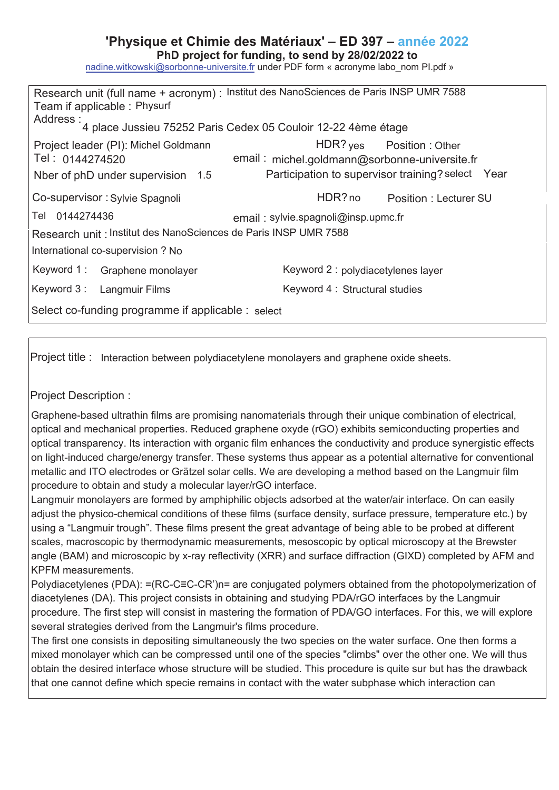## **'Physique et Chimie des Matériaux' – ED 397 – année 202**

PhD project for funding, to send by 28/02/2022 to

nadine.witkowski@sorbonne-universite.fr under PDF form « acronyme labo\_nom Pl.pdf »

| Research unit (full name + acronym) : Institut des NanoSciences de Paris INSP UMR 7588<br>Team if applicable: Physurf<br>Address :<br>4 place Jussieu 75252 Paris Cedex 05 Couloir 12-22 4ème étage |                                                                                                                                 |
|-----------------------------------------------------------------------------------------------------------------------------------------------------------------------------------------------------|---------------------------------------------------------------------------------------------------------------------------------|
| Project leader (PI): Michel Goldmann<br>Tel: 0144274520<br>Nber of phD under supervision 1.5                                                                                                        | HDR? yes Position : Other<br>email: michel.goldmann@sorbonne-universite.fr<br>Participation to supervisor training? select Year |
| Co-supervisor: Sylvie Spagnoli                                                                                                                                                                      | HDR? no<br>Position: Lecturer SU                                                                                                |
| Tel 0144274436                                                                                                                                                                                      | email: sylvie.spagnoli@insp.upmc.fr                                                                                             |
| Research unit : Institut des NanoSciences de Paris INSP UMR 7588                                                                                                                                    |                                                                                                                                 |
| International co-supervision ? No                                                                                                                                                                   |                                                                                                                                 |
| Keyword 1: Graphene monolayer                                                                                                                                                                       | Keyword 2 : polydiacetylenes layer                                                                                              |
| Keyword 3: Langmuir Films                                                                                                                                                                           | Keyword 4: Structural studies                                                                                                   |
| Select co-funding programme if applicable : select                                                                                                                                                  |                                                                                                                                 |

Project title : Interaction between polydiacetylene monolayers and graphene oxide sheets.

## Project Description :

Graphene-based ultrathin films are promising nanomaterials through their unique combination of electrical, optical and mechanical properties. Reduced graphene oxyde (rGO) exhibits semiconducting properties and optical transparency. Its interaction with organic film enhances the conductivity and produce synergistic effects on light-induced charge/energy transfer. These systems thus appear as a potential alternative for conventional metallic and ITO electrodes or Grätzel solar cells. We are developing a method based on the Langmuir film procedure to obtain and study a molecular layer/rGO interface.

Langmuir monolayers are formed by amphiphilic objects adsorbed at the water/air interface. On can easily adjust the physico-chemical conditions of these films (surface density, surface pressure, temperature etc.) by using a "Langmuir trough". These films present the great advantage of being able to be probed at different scales, macroscopic by thermodynamic measurements, mesoscopic by optical microscopy at the Brewster angle (BAM) and microscopic by x-ray reflectivity (XRR) and surface diffraction (GIXD) completed by AFM and KPFM measurements.

Polydiacetylenes (PDA): =(RC-C=C-CR')n= are conjugated polymers obtained from the photopolymerization of diacetylenes (DA). This project consists in obtaining and studying PDA/rGO interfaces by the Langmuir procedure. The first step will consist in mastering the formation of PDA/GO interfaces. For this, we will explore several strategies derived from the Langmuir's films procedure.

The first one consists in depositing simultaneously the two species on the water surface. One then forms a mixed monolayer which can be compressed until one of the species "climbs" over the other one. We will thus obtain the desired interface whose structure will be studied. This procedure is quite sur but has the drawback that one cannot define which specie remains in contact with the water subphase which interaction can